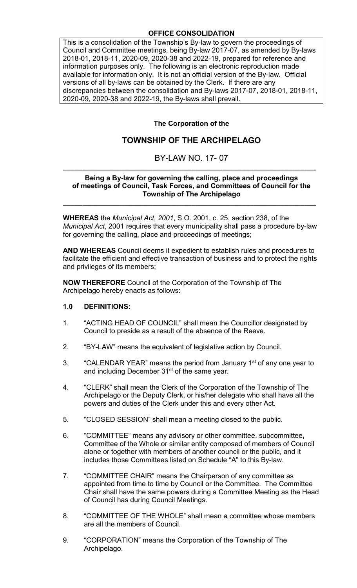# **OFFICE CONSOLIDATION**

This is a consolidation of the Township's By-law to govern the proceedings of Council and Committee meetings, being By-law 2017-07, as amended by By-laws 2018-01, 2018-11, 2020-09, 2020-38 and 2022-19, prepared for reference and information purposes only. The following is an electronic reproduction made available for information only. It is not an official version of the By-law. Official versions of all by-laws can be obtained by the Clerk. If there are any discrepancies between the consolidation and By-laws 2017-07, 2018-01, 2018-11, 2020-09, 2020-38 and 2022-19, the By-laws shall prevail.

# **The Corporation of the**

# **TOWNSHIP OF THE ARCHIPELAGO**

# BY-LAW NO. 17- 07 **\_\_\_\_\_\_\_\_\_\_\_\_\_\_\_\_\_\_\_\_\_\_\_\_\_\_\_\_\_\_\_\_\_\_\_\_\_\_\_\_\_\_\_\_\_\_\_\_\_\_\_\_\_\_\_\_\_\_\_\_\_\_\_\_\_**

#### **Being a By-law for governing the calling, place and proceedings of meetings of Council, Task Forces, and Committees of Council for the Township of The Archipelago**

**WHEREAS** the *Municipal Act, 2001*, S.O. 2001, c. 25, section 238, of the *Municipal Act*, 2001 requires that every municipality shall pass a procedure by-law for governing the calling, place and proceedings of meetings;

**\_\_\_\_\_\_\_\_\_\_\_\_\_\_\_\_\_\_\_\_\_\_\_\_\_\_\_\_\_\_\_\_\_\_\_\_\_\_\_\_\_\_\_\_\_\_\_\_\_\_\_\_\_\_\_\_\_\_\_\_\_\_\_\_\_**

**AND WHEREAS** Council deems it expedient to establish rules and procedures to facilitate the efficient and effective transaction of business and to protect the rights and privileges of its members;

**NOW THEREFORE** Council of the Corporation of the Township of The Archipelago hereby enacts as follows:

## **1.0 DEFINITIONS:**

- 1. "ACTING HEAD OF COUNCIL" shall mean the Councillor designated by Council to preside as a result of the absence of the Reeve.
- 2. "BY-LAW" means the equivalent of legislative action by Council.
- 3. "CALENDAR YEAR" means the period from January 1<sup>st</sup> of any one year to and including December 31<sup>st</sup> of the same year.
- 4. "CLERK" shall mean the Clerk of the Corporation of the Township of The Archipelago or the Deputy Clerk, or his/her delegate who shall have all the powers and duties of the Clerk under this and every other Act.
- 5. "CLOSED SESSION" shall mean a meeting closed to the public.
- 6. "COMMITTEE" means any advisory or other committee, subcommittee, Committee of the Whole or similar entity composed of members of Council alone or together with members of another council or the public, and it includes those Committees listed on Schedule "A" to this By-law.
- 7. "COMMITTEE CHAIR" means the Chairperson of any committee as appointed from time to time by Council or the Committee. The Committee Chair shall have the same powers during a Committee Meeting as the Head of Council has during Council Meetings.
- 8. "COMMITTEE OF THE WHOLE" shall mean a committee whose members are all the members of Council.
- 9. "CORPORATION" means the Corporation of the Township of The Archipelago.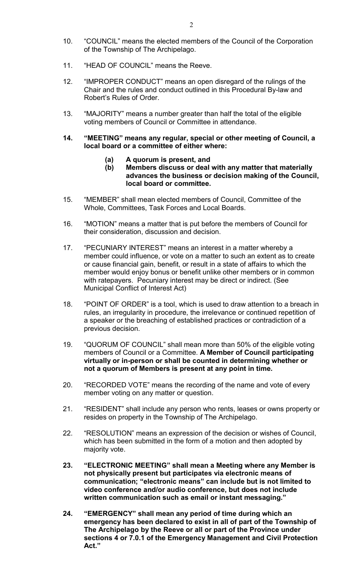- 10. "COUNCIL" means the elected members of the Council of the Corporation of the Township of The Archipelago.
- 11. "HEAD OF COUNCIL" means the Reeve.
- 12. "IMPROPER CONDUCT" means an open disregard of the rulings of the Chair and the rules and conduct outlined in this Procedural By-law and Robert's Rules of Order.
- 13. "MAJORITY" means a number greater than half the total of the eligible voting members of Council or Committee in attendance.
- **14. "MEETING" means any regular, special or other meeting of Council, a local board or a committee of either where:**
	- **(a) A quorum is present, and**
	- **(b) Members discuss or deal with any matter that materially advances the business or decision making of the Council, local board or committee.**
- 15. "MEMBER" shall mean elected members of Council, Committee of the Whole, Committees, Task Forces and Local Boards.
- 16. "MOTION" means a matter that is put before the members of Council for their consideration, discussion and decision.
- 17. "PECUNIARY INTEREST" means an interest in a matter whereby a member could influence, or vote on a matter to such an extent as to create or cause financial gain, benefit, or result in a state of affairs to which the member would enjoy bonus or benefit unlike other members or in common with ratepayers. Pecuniary interest may be direct or indirect. (See Municipal Conflict of Interest Act)
- 18. "POINT OF ORDER" is a tool, which is used to draw attention to a breach in rules, an irregularity in procedure, the irrelevance or continued repetition of a speaker or the breaching of established practices or contradiction of a previous decision.
- 19. "QUORUM OF COUNCIL" shall mean more than 50% of the eligible voting members of Council or a Committee. **A Member of Council participating virtually or in-person or shall be counted in determining whether or not a quorum of Members is present at any point in time.**
- 20. "RECORDED VOTE" means the recording of the name and vote of every member voting on any matter or question.
- 21. "RESIDENT" shall include any person who rents, leases or owns property or resides on property in the Township of The Archipelago.
- 22. "RESOLUTION" means an expression of the decision or wishes of Council, which has been submitted in the form of a motion and then adopted by majority vote.
- **23. "ELECTRONIC MEETING" shall mean a Meeting where any Member is not physically present but participates via electronic means of communication; "electronic means" can include but is not limited to video conference and/or audio conference, but does not include written communication such as email or instant messaging."**
- **24. "EMERGENCY" shall mean any period of time during which an emergency has been declared to exist in all of part of the Township of The Archipelago by the Reeve or all or part of the Province under sections 4 or 7.0.1 of the Emergency Management and Civil Protection Act."**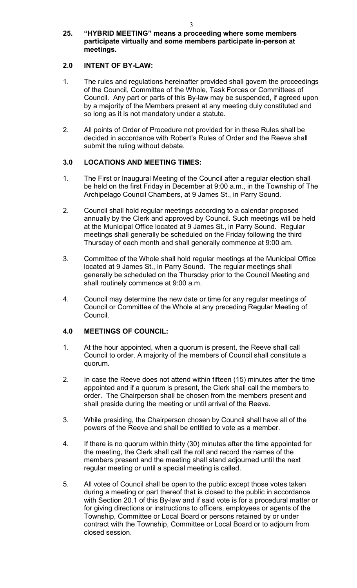#### **25. "HYBRID MEETING" means a proceeding where some members participate virtually and some members participate in-person at meetings.**

# **2.0 INTENT OF BY-LAW:**

- 1. The rules and regulations hereinafter provided shall govern the proceedings of the Council, Committee of the Whole, Task Forces or Committees of Council. Any part or parts of this By-law may be suspended, if agreed upon by a majority of the Members present at any meeting duly constituted and so long as it is not mandatory under a statute.
- 2. All points of Order of Procedure not provided for in these Rules shall be decided in accordance with Robert's Rules of Order and the Reeve shall submit the ruling without debate.

# **3.0 LOCATIONS AND MEETING TIMES:**

- 1. The First or Inaugural Meeting of the Council after a regular election shall be held on the first Friday in December at 9:00 a.m., in the Township of The Archipelago Council Chambers, at 9 James St., in Parry Sound.
- 2. Council shall hold regular meetings according to a calendar proposed annually by the Clerk and approved by Council. Such meetings will be held at the Municipal Office located at 9 James St., in Parry Sound. Regular meetings shall generally be scheduled on the Friday following the third Thursday of each month and shall generally commence at 9:00 am.
- 3. Committee of the Whole shall hold regular meetings at the Municipal Office located at 9 James St., in Parry Sound. The regular meetings shall generally be scheduled on the Thursday prior to the Council Meeting and shall routinely commence at 9:00 a.m.
- 4. Council may determine the new date or time for any regular meetings of Council or Committee of the Whole at any preceding Regular Meeting of Council.

## **4.0 MEETINGS OF COUNCIL:**

- 1. At the hour appointed, when a quorum is present, the Reeve shall call Council to order. A majority of the members of Council shall constitute a quorum.
- 2. In case the Reeve does not attend within fifteen (15) minutes after the time appointed and if a quorum is present, the Clerk shall call the members to order. The Chairperson shall be chosen from the members present and shall preside during the meeting or until arrival of the Reeve.
- 3. While presiding, the Chairperson chosen by Council shall have all of the powers of the Reeve and shall be entitled to vote as a member.
- 4. If there is no quorum within thirty (30) minutes after the time appointed for the meeting, the Clerk shall call the roll and record the names of the members present and the meeting shall stand adjourned until the next regular meeting or until a special meeting is called.
- 5. All votes of Council shall be open to the public except those votes taken during a meeting or part thereof that is closed to the public in accordance with Section 20.1 of this By-law and if said vote is for a procedural matter or for giving directions or instructions to officers, employees or agents of the Township, Committee or Local Board or persons retained by or under contract with the Township, Committee or Local Board or to adjourn from closed session.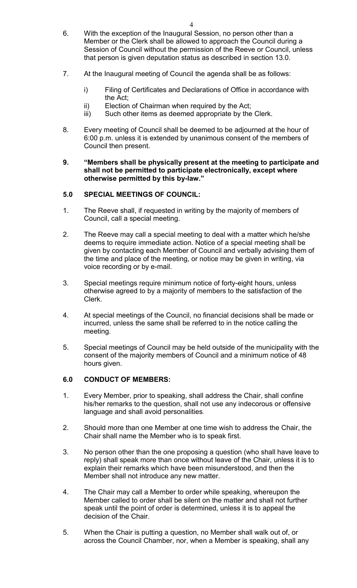- 6. With the exception of the Inaugural Session, no person other than a Member or the Clerk shall be allowed to approach the Council during a Session of Council without the permission of the Reeve or Council, unless that person is given deputation status as described in section 13.0.
- 7. At the Inaugural meeting of Council the agenda shall be as follows:
	- i) Filing of Certificates and Declarations of Office in accordance with the Act;
	- ii) Election of Chairman when required by the Act;
	- iii) Such other items as deemed appropriate by the Clerk.
- 8. Every meeting of Council shall be deemed to be adjourned at the hour of 6:00 p.m. unless it is extended by unanimous consent of the members of Council then present.

#### **9. "Members shall be physically present at the meeting to participate and shall not be permitted to participate electronically, except where otherwise permitted by this by-law."**

## **5.0 SPECIAL MEETINGS OF COUNCIL:**

- 1. The Reeve shall, if requested in writing by the majority of members of Council, call a special meeting.
- 2. The Reeve may call a special meeting to deal with a matter which he/she deems to require immediate action. Notice of a special meeting shall be given by contacting each Member of Council and verbally advising them of the time and place of the meeting, or notice may be given in writing, via voice recording or by e-mail.
- 3. Special meetings require minimum notice of forty-eight hours, unless otherwise agreed to by a majority of members to the satisfaction of the Clerk.
- 4. At special meetings of the Council, no financial decisions shall be made or incurred, unless the same shall be referred to in the notice calling the meeting.
- 5. Special meetings of Council may be held outside of the municipality with the consent of the majority members of Council and a minimum notice of 48 hours given.

## **6.0 CONDUCT OF MEMBERS:**

- 1. Every Member, prior to speaking, shall address the Chair, shall confine his/her remarks to the question, shall not use any indecorous or offensive language and shall avoid personalities.
- 2. Should more than one Member at one time wish to address the Chair, the Chair shall name the Member who is to speak first.
- 3. No person other than the one proposing a question (who shall have leave to reply) shall speak more than once without leave of the Chair, unless it is to explain their remarks which have been misunderstood, and then the Member shall not introduce any new matter.
- 4. The Chair may call a Member to order while speaking, whereupon the Member called to order shall be silent on the matter and shall not further speak until the point of order is determined, unless it is to appeal the decision of the Chair.
- 5. When the Chair is putting a question, no Member shall walk out of, or across the Council Chamber, nor, when a Member is speaking, shall any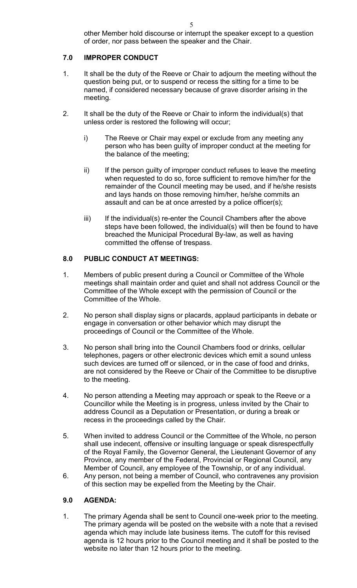# **7.0 IMPROPER CONDUCT**

- 1. It shall be the duty of the Reeve or Chair to adjourn the meeting without the question being put, or to suspend or recess the sitting for a time to be named, if considered necessary because of grave disorder arising in the meeting.
- 2. It shall be the duty of the Reeve or Chair to inform the individual(s) that unless order is restored the following will occur;
	- i) The Reeve or Chair may expel or exclude from any meeting any person who has been guilty of improper conduct at the meeting for the balance of the meeting;
	- ii) If the person guilty of improper conduct refuses to leave the meeting when requested to do so, force sufficient to remove him/her for the remainder of the Council meeting may be used, and if he/she resists and lays hands on those removing him/her, he/she commits an assault and can be at once arrested by a police officer(s);
	- iii) If the individual(s) re-enter the Council Chambers after the above steps have been followed, the individual(s) will then be found to have breached the Municipal Procedural By-law, as well as having committed the offense of trespass.

# **8.0 PUBLIC CONDUCT AT MEETINGS:**

- 1. Members of public present during a Council or Committee of the Whole meetings shall maintain order and quiet and shall not address Council or the Committee of the Whole except with the permission of Council or the Committee of the Whole.
- 2. No person shall display signs or placards, applaud participants in debate or engage in conversation or other behavior which may disrupt the proceedings of Council or the Committee of the Whole.
- 3. No person shall bring into the Council Chambers food or drinks, cellular telephones, pagers or other electronic devices which emit a sound unless such devices are turned off or silenced, or in the case of food and drinks, are not considered by the Reeve or Chair of the Committee to be disruptive to the meeting.
- 4. No person attending a Meeting may approach or speak to the Reeve or a Councillor while the Meeting is in progress, unless invited by the Chair to address Council as a Deputation or Presentation, or during a break or recess in the proceedings called by the Chair.
- 5. When invited to address Council or the Committee of the Whole, no person shall use indecent, offensive or insulting language or speak disrespectfully of the Royal Family, the Governor General, the Lieutenant Governor of any Province, any member of the Federal, Provincial or Regional Council, any Member of Council, any employee of the Township, or of any individual.
- 6. Any person, not being a member of Council, who contravenes any provision of this section may be expelled from the Meeting by the Chair.

# **9.0 AGENDA:**

1. The primary Agenda shall be sent to Council one-week prior to the meeting. The primary agenda will be posted on the website with a note that a revised agenda which may include late business items. The cutoff for this revised agenda is 12 hours prior to the Council meeting and it shall be posted to the website no later than 12 hours prior to the meeting.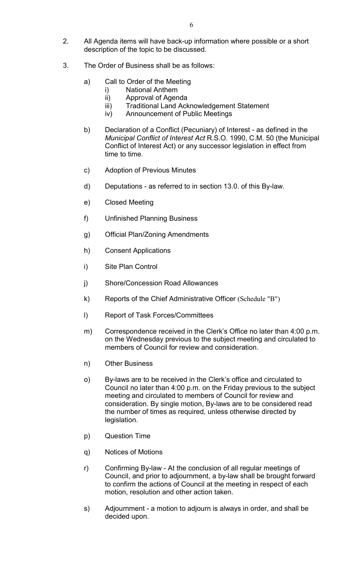- 2. All Agenda items will have back-up information where possible or a short description of the topic to be discussed.
- 3. The Order of Business shall be as follows:
	- a) Call to Order of the Meeting
		- i) National Anthem
		- ii) Approval of Agenda
		- iii) Traditional Land Acknowledgement Statement
		- iv) Announcement of Public Meetings
	- b) Declaration of a Conflict (Pecuniary) of Interest as defined in the *Municipal Conflict of Interest Act* R.S.O. 1990, C.M. 50 (the Municipal Conflict of Interest Act) or any successor legislation in effect from time to time.
	- c) Adoption of Previous Minutes
	- d) Deputations as referred to in section 13.0. of this By-law.
	- e) Closed Meeting
	- f) Unfinished Planning Business
	- g) Official Plan/Zoning Amendments
	- h) Consent Applications
	- i) Site Plan Control
	- j) Shore/Concession Road Allowances
	- k) Reports of the Chief Administrative Officer (Schedule "B")
	- l) Report of Task Forces/Committees
	- m) Correspondence received in the Clerk's Office no later than 4:00 p.m. on the Wednesday previous to the subject meeting and circulated to members of Council for review and consideration.
	- n) Other Business
	- o) By-laws are to be received in the Clerk's office and circulated to Council no later than 4:00 p.m. on the Friday previous to the subject meeting and circulated to members of Council for review and consideration. By single motion, By-laws are to be considered read the number of times as required, unless otherwise directed by legislation.
	- p) Question Time
	- q) Notices of Motions
	- r) Confirming By-law At the conclusion of all regular meetings of Council, and prior to adjournment, a by-law shall be brought forward to confirm the actions of Council at the meeting in respect of each motion, resolution and other action taken.
	- s) Adjournment a motion to adjourn is always in order, and shall be decided upon.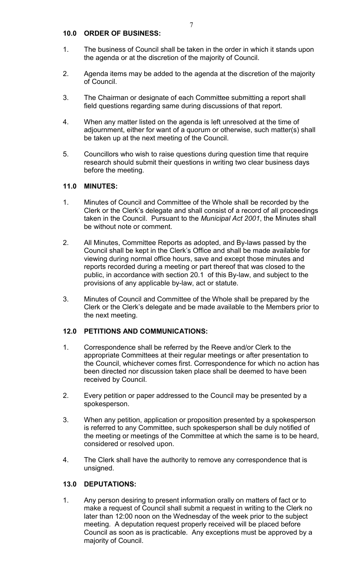## **10.0 ORDER OF BUSINESS:**

- 1. The business of Council shall be taken in the order in which it stands upon the agenda or at the discretion of the majority of Council.
- 2. Agenda items may be added to the agenda at the discretion of the majority of Council.
- 3. The Chairman or designate of each Committee submitting a report shall field questions regarding same during discussions of that report.
- 4. When any matter listed on the agenda is left unresolved at the time of adjournment, either for want of a quorum or otherwise, such matter(s) shall be taken up at the next meeting of the Council.
- 5. Councillors who wish to raise questions during question time that require research should submit their questions in writing two clear business days before the meeting.

## **11.0 MINUTES:**

- 1. Minutes of Council and Committee of the Whole shall be recorded by the Clerk or the Clerk's delegate and shall consist of a record of all proceedings taken in the Council. Pursuant to the *Municipal Act 2001*, the Minutes shall be without note or comment.
- 2. All Minutes, Committee Reports as adopted, and By-laws passed by the Council shall be kept in the Clerk's Office and shall be made available for viewing during normal office hours, save and except those minutes and reports recorded during a meeting or part thereof that was closed to the public, in accordance with section 20.1 of this By-law, and subject to the provisions of any applicable by-law, act or statute.
- 3. Minutes of Council and Committee of the Whole shall be prepared by the Clerk or the Clerk's delegate and be made available to the Members prior to the next meeting.

## **12.0 PETITIONS AND COMMUNICATIONS:**

- 1. Correspondence shall be referred by the Reeve and/or Clerk to the appropriate Committees at their regular meetings or after presentation to the Council, whichever comes first. Correspondence for which no action has been directed nor discussion taken place shall be deemed to have been received by Council.
- 2. Every petition or paper addressed to the Council may be presented by a spokesperson.
- 3. When any petition, application or proposition presented by a spokesperson is referred to any Committee, such spokesperson shall be duly notified of the meeting or meetings of the Committee at which the same is to be heard, considered or resolved upon.
- 4. The Clerk shall have the authority to remove any correspondence that is unsigned.

#### **13.0 DEPUTATIONS:**

1. Any person desiring to present information orally on matters of fact or to make a request of Council shall submit a request in writing to the Clerk no later than 12:00 noon on the Wednesday of the week prior to the subject meeting. A deputation request properly received will be placed before Council as soon as is practicable. Any exceptions must be approved by a majority of Council.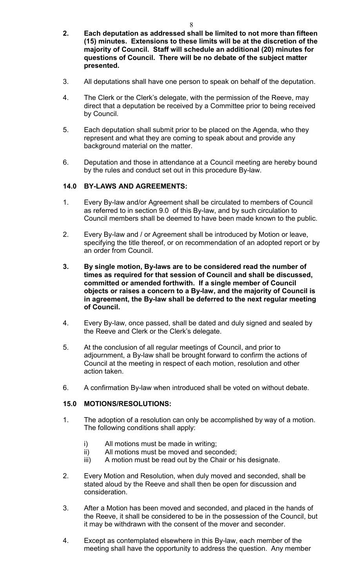- **2. Each deputation as addressed shall be limited to not more than fifteen (15) minutes. Extensions to these limits will be at the discretion of the majority of Council. Staff will schedule an additional (20) minutes for questions of Council. There will be no debate of the subject matter presented.**
- 3. All deputations shall have one person to speak on behalf of the deputation.
- 4. The Clerk or the Clerk's delegate, with the permission of the Reeve, may direct that a deputation be received by a Committee prior to being received by Council.
- 5. Each deputation shall submit prior to be placed on the Agenda, who they represent and what they are coming to speak about and provide any background material on the matter.
- 6. Deputation and those in attendance at a Council meeting are hereby bound by the rules and conduct set out in this procedure By-law.

## **14.0 BY-LAWS AND AGREEMENTS:**

- 1. Every By-law and/or Agreement shall be circulated to members of Council as referred to in section 9.0 of this By-law, and by such circulation to Council members shall be deemed to have been made known to the public.
- 2. Every By-law and / or Agreement shall be introduced by Motion or leave, specifying the title thereof, or on recommendation of an adopted report or by an order from Council.
- **3. By single motion, By-laws are to be considered read the number of times as required for that session of Council and shall be discussed, committed or amended forthwith. If a single member of Council objects or raises a concern to a By-law, and the majority of Council is in agreement, the By-law shall be deferred to the next regular meeting of Council.**
- 4. Every By-law, once passed, shall be dated and duly signed and sealed by the Reeve and Clerk or the Clerk's delegate.
- 5. At the conclusion of all regular meetings of Council, and prior to adjournment, a By-law shall be brought forward to confirm the actions of Council at the meeting in respect of each motion, resolution and other action taken.
- 6. A confirmation By-law when introduced shall be voted on without debate.

## **15.0 MOTIONS/RESOLUTIONS:**

- 1. The adoption of a resolution can only be accomplished by way of a motion. The following conditions shall apply:
	- i) All motions must be made in writing;
	- ii) All motions must be moved and seconded;
	- iii) A motion must be read out by the Chair or his designate.
- 2. Every Motion and Resolution, when duly moved and seconded, shall be stated aloud by the Reeve and shall then be open for discussion and consideration.
- 3. After a Motion has been moved and seconded, and placed in the hands of the Reeve, it shall be considered to be in the possession of the Council, but it may be withdrawn with the consent of the mover and seconder.
- 4. Except as contemplated elsewhere in this By-law, each member of the meeting shall have the opportunity to address the question. Any member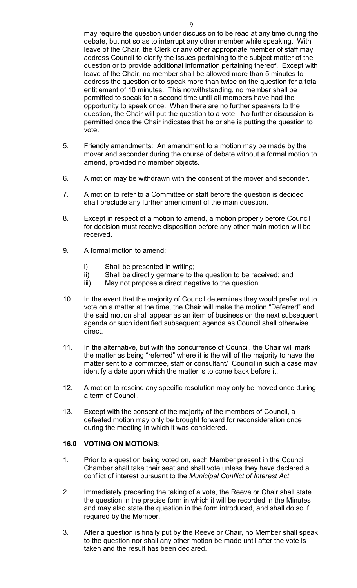may require the question under discussion to be read at any time during the debate, but not so as to interrupt any other member while speaking. With leave of the Chair, the Clerk or any other appropriate member of staff may address Council to clarify the issues pertaining to the subject matter of the question or to provide additional information pertaining thereof. Except with leave of the Chair, no member shall be allowed more than 5 minutes to address the question or to speak more than twice on the question for a total entitlement of 10 minutes. This notwithstanding, no member shall be permitted to speak for a second time until all members have had the opportunity to speak once. When there are no further speakers to the question, the Chair will put the question to a vote. No further discussion is permitted once the Chair indicates that he or she is putting the question to vote.

- 5. Friendly amendments: An amendment to a motion may be made by the mover and seconder during the course of debate without a formal motion to amend, provided no member objects.
- 6. A motion may be withdrawn with the consent of the mover and seconder.
- 7. A motion to refer to a Committee or staff before the question is decided shall preclude any further amendment of the main question.
- 8. Except in respect of a motion to amend, a motion properly before Council for decision must receive disposition before any other main motion will be received.
- 9. A formal motion to amend:
	- i) Shall be presented in writing;
	- ii) Shall be directly germane to the question to be received; and
	- iii) May not propose a direct negative to the question.
- 10. In the event that the majority of Council determines they would prefer not to vote on a matter at the time, the Chair will make the motion "Deferred" and the said motion shall appear as an item of business on the next subsequent agenda or such identified subsequent agenda as Council shall otherwise direct.
- 11. In the alternative, but with the concurrence of Council, the Chair will mark the matter as being "referred" where it is the will of the majority to have the matter sent to a committee, staff or consultant/ Council in such a case may identify a date upon which the matter is to come back before it.
- 12. A motion to rescind any specific resolution may only be moved once during a term of Council.
- 13. Except with the consent of the majority of the members of Council, a defeated motion may only be brought forward for reconsideration once during the meeting in which it was considered.

# **16.0 VOTING ON MOTIONS:**

- 1. Prior to a question being voted on, each Member present in the Council Chamber shall take their seat and shall vote unless they have declared a conflict of interest pursuant to the *Municipal Conflict of Interest Act*.
- 2. Immediately preceding the taking of a vote, the Reeve or Chair shall state the question in the precise form in which it will be recorded in the Minutes and may also state the question in the form introduced, and shall do so if required by the Member.
- 3. After a question is finally put by the Reeve or Chair, no Member shall speak to the question nor shall any other motion be made until after the vote is taken and the result has been declared.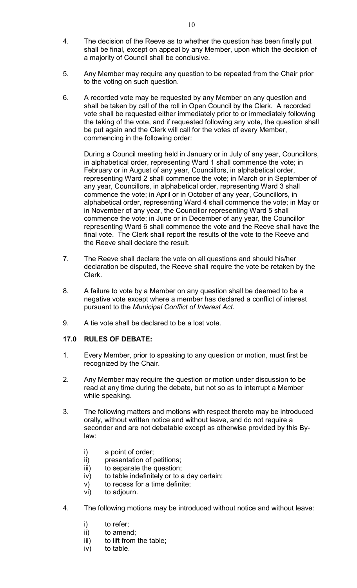- 4. The decision of the Reeve as to whether the question has been finally put shall be final, except on appeal by any Member, upon which the decision of a majority of Council shall be conclusive.
- 5. Any Member may require any question to be repeated from the Chair prior to the voting on such question.
- 6. A recorded vote may be requested by any Member on any question and shall be taken by call of the roll in Open Council by the Clerk. A recorded vote shall be requested either immediately prior to or immediately following the taking of the vote, and if requested following any vote, the question shall be put again and the Clerk will call for the votes of every Member, commencing in the following order:

During a Council meeting held in January or in July of any year, Councillors, in alphabetical order, representing Ward 1 shall commence the vote; in February or in August of any year, Councillors, in alphabetical order, representing Ward 2 shall commence the vote; in March or in September of any year, Councillors, in alphabetical order, representing Ward 3 shall commence the vote; in April or in October of any year, Councillors, in alphabetical order, representing Ward 4 shall commence the vote; in May or in November of any year, the Councillor representing Ward 5 shall commence the vote; in June or in December of any year, the Councillor representing Ward 6 shall commence the vote and the Reeve shall have the final vote. The Clerk shall report the results of the vote to the Reeve and the Reeve shall declare the result.

- 7. The Reeve shall declare the vote on all questions and should his/her declaration be disputed, the Reeve shall require the vote be retaken by the Clerk.
- 8. A failure to vote by a Member on any question shall be deemed to be a negative vote except where a member has declared a conflict of interest pursuant to the *Municipal Conflict of Interest Act*.
- 9. A tie vote shall be declared to be a lost vote.

## **17.0 RULES OF DEBATE:**

- 1. Every Member, prior to speaking to any question or motion, must first be recognized by the Chair.
- 2. Any Member may require the question or motion under discussion to be read at any time during the debate, but not so as to interrupt a Member while speaking.
- 3. The following matters and motions with respect thereto may be introduced orally, without written notice and without leave, and do not require a seconder and are not debatable except as otherwise provided by this Bylaw:
	- i) a point of order;
	- ii) presentation of petitions;
	- iii) to separate the question;
	- iv) to table indefinitely or to a day certain;
	- v) to recess for a time definite;
	- vi) to adjourn.
- 4. The following motions may be introduced without notice and without leave:
	- i) to refer;
	- ii) to amend;
	- iii) to lift from the table;
	- iv) to table.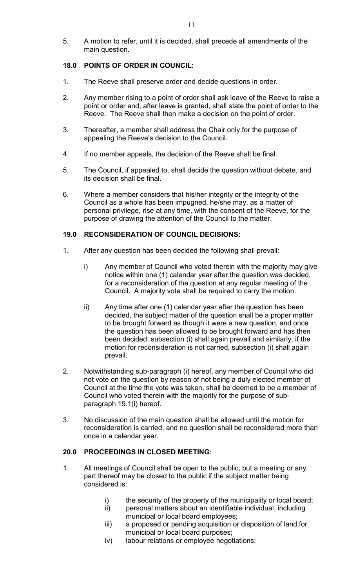5. A motion to refer, until it is decided, shall precede all amendments of the main question.

## **18.0 POINTS OF ORDER IN COUNCIL:**

- 1. The Reeve shall preserve order and decide questions in order.
- 2. Any member rising to a point of order shall ask leave of the Reeve to raise a point or order and, after leave is granted, shall state the point of order to the Reeve. The Reeve shall then make a decision on the point of order.
- 3. Thereafter, a member shall address the Chair only for the purpose of appealing the Reeve's decision to the Council.
- 4. If no member appeals, the decision of the Reeve shall be final.
- 5. The Council, if appealed to, shall decide the question without debate, and its decision shall be final.
- 6. Where a member considers that his/her integrity or the integrity of the Council as a whole has been impugned, he/she may, as a matter of personal privilege, rise at any time, with the consent of the Reeve, for the purpose of drawing the attention of the Council to the matter.

# **19.0 RECONSIDERATION OF COUNCIL DECISIONS:**

- 1. After any question has been decided the following shall prevail:
	- i) Any member of Council who voted therein with the majority may give notice within one (1) calendar year after the question was decided, for a reconsideration of the question at any regular meeting of the Council. A majority vote shall be required to carry the motion.
	- ii) Any time after one (1) calendar year after the question has been decided, the subject matter of the question shall be a proper matter to be brought forward as though it were a new question, and once the question has been allowed to be brought forward and has then been decided, subsection (i) shall again prevail and similarly, if the motion for reconsideration is not carried, subsection (i) shall again prevail.
- 2. Notwithstanding sub-paragraph (i) hereof, any member of Council who did not vote on the question by reason of not being a duly elected member of Council at the time the vote was taken, shall be deemed to be a member of Council who voted therein with the majority for the purpose of subparagraph 19.1(i) hereof.
- 3. No discussion of the main question shall be allowed until the motion for reconsideration is carried, and no question shall be reconsidered more than once in a calendar year.

# **20.0 PROCEEDINGS IN CLOSED MEETING:**

- 1. All meetings of Council shall be open to the public, but a meeting or any part thereof may be closed to the public if the subject matter being considered is:
	- i) the security of the property of the municipality or local board;
	- ii) personal matters about an identifiable individual, including municipal or local board employees;
	- iii) a proposed or pending acquisition or disposition of land for municipal or local board purposes;
	- iv) labour relations or employee negotiations;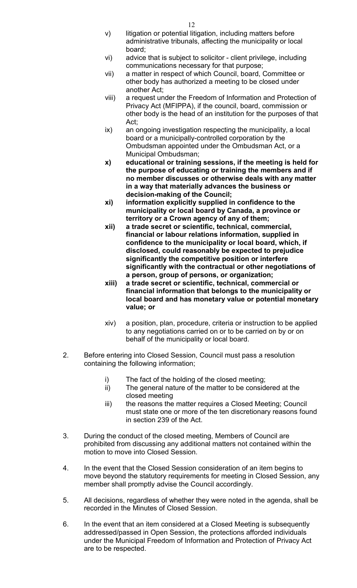- v) litigation or potential litigation, including matters before administrative tribunals, affecting the municipality or local board;
- vi) advice that is subject to solicitor client privilege, including communications necessary for that purpose;
- vii) a matter in respect of which Council, board, Committee or other body has authorized a meeting to be closed under another Act;
- viii) a request under the Freedom of Information and Protection of Privacy Act (MFIPPA), if the council, board, commission or other body is the head of an institution for the purposes of that Act;
- ix) an ongoing investigation respecting the municipality, a local board or a municipally-controlled corporation by the Ombudsman appointed under the Ombudsman Act, or a Municipal Ombudsman;
- **x) educational or training sessions, if the meeting is held for the purpose of educating or training the members and if no member discusses or otherwise deals with any matter in a way that materially advances the business or decision-making of the Council;**
- **xi) information explicitly supplied in confidence to the municipality or local board by Canada, a province or territory or a Crown agency of any of them;**
- **xii) a trade secret or scientific, technical, commercial, financial or labour relations information, supplied in confidence to the municipality or local board, which, if disclosed, could reasonably be expected to prejudice significantly the competitive position or interfere significantly with the contractual or other negotiations of a person, group of persons, or organization;**
- **xiii) a trade secret or scientific, technical, commercial or financial information that belongs to the municipality or local board and has monetary value or potential monetary value; or**
- xiv) a position, plan, procedure, criteria or instruction to be applied to any negotiations carried on or to be carried on by or on behalf of the municipality or local board.
- 2. Before entering into Closed Session, Council must pass a resolution containing the following information;
	- i) The fact of the holding of the closed meeting;
	- ii) The general nature of the matter to be considered at the closed meeting
	- iii) the reasons the matter requires a Closed Meeting; Council must state one or more of the ten discretionary reasons found in section 239 of the Act.
- 3. During the conduct of the closed meeting, Members of Council are prohibited from discussing any additional matters not contained within the motion to move into Closed Session.
- 4. In the event that the Closed Session consideration of an item begins to move beyond the statutory requirements for meeting in Closed Session, any member shall promptly advise the Council accordingly.
- 5. All decisions, regardless of whether they were noted in the agenda, shall be recorded in the Minutes of Closed Session.
- 6. In the event that an item considered at a Closed Meeting is subsequently addressed/passed in Open Session, the protections afforded individuals under the Municipal Freedom of Information and Protection of Privacy Act are to be respected.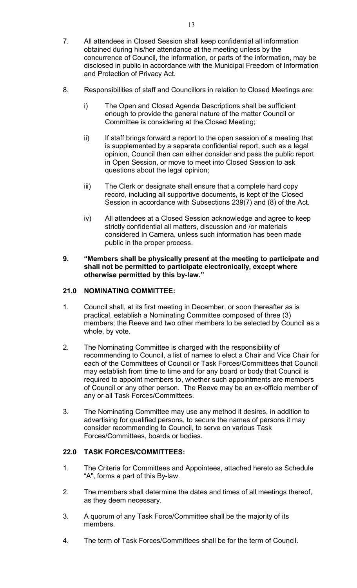- 7. All attendees in Closed Session shall keep confidential all information obtained during his/her attendance at the meeting unless by the concurrence of Council, the information, or parts of the information, may be disclosed in public in accordance with the Municipal Freedom of Information and Protection of Privacy Act.
- 8. Responsibilities of staff and Councillors in relation to Closed Meetings are:
	- i) The Open and Closed Agenda Descriptions shall be sufficient enough to provide the general nature of the matter Council or Committee is considering at the Closed Meeting;
	- ii) If staff brings forward a report to the open session of a meeting that is supplemented by a separate confidential report, such as a legal opinion, Council then can either consider and pass the public report in Open Session, or move to meet into Closed Session to ask questions about the legal opinion;
	- iii) The Clerk or designate shall ensure that a complete hard copy record, including all supportive documents, is kept of the Closed Session in accordance with Subsections 239(7) and (8) of the Act.
	- iv) All attendees at a Closed Session acknowledge and agree to keep strictly confidential all matters, discussion and /or materials considered In Camera, unless such information has been made public in the proper process.

#### **9. "Members shall be physically present at the meeting to participate and shall not be permitted to participate electronically, except where otherwise permitted by this by-law."**

# **21.0 NOMINATING COMMITTEE:**

- 1. Council shall, at its first meeting in December, or soon thereafter as is practical, establish a Nominating Committee composed of three (3) members; the Reeve and two other members to be selected by Council as a whole, by vote.
- 2. The Nominating Committee is charged with the responsibility of recommending to Council, a list of names to elect a Chair and Vice Chair for each of the Committees of Council or Task Forces/Committees that Council may establish from time to time and for any board or body that Council is required to appoint members to, whether such appointments are members of Council or any other person. The Reeve may be an ex-officio member of any or all Task Forces/Committees.
- 3. The Nominating Committee may use any method it desires, in addition to advertising for qualified persons, to secure the names of persons it may consider recommending to Council, to serve on various Task Forces/Committees, boards or bodies.

## **22.0 TASK FORCES/COMMITTEES:**

- 1. The Criteria for Committees and Appointees, attached hereto as Schedule "A", forms a part of this By-law.
- 2. The members shall determine the dates and times of all meetings thereof, as they deem necessary.
- 3. A quorum of any Task Force/Committee shall be the majority of its members.
- 4. The term of Task Forces/Committees shall be for the term of Council.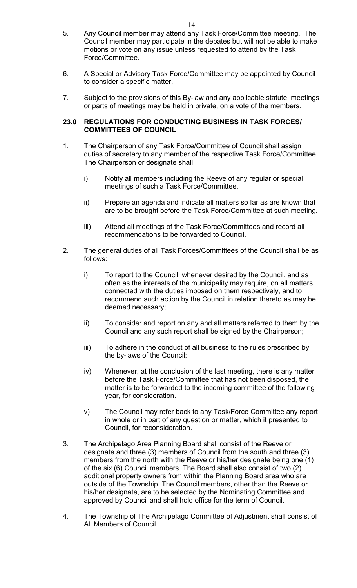- 5. Any Council member may attend any Task Force/Committee meeting. The Council member may participate in the debates but will not be able to make motions or vote on any issue unless requested to attend by the Task Force/Committee.
- 6. A Special or Advisory Task Force/Committee may be appointed by Council to consider a specific matter.
- 7. Subject to the provisions of this By-law and any applicable statute, meetings or parts of meetings may be held in private, on a vote of the members.

#### **23.0 REGULATIONS FOR CONDUCTING BUSINESS IN TASK FORCES/ COMMITTEES OF COUNCIL**

- 1. The Chairperson of any Task Force/Committee of Council shall assign duties of secretary to any member of the respective Task Force/Committee. The Chairperson or designate shall:
	- i) Notify all members including the Reeve of any regular or special meetings of such a Task Force/Committee.
	- ii) Prepare an agenda and indicate all matters so far as are known that are to be brought before the Task Force/Committee at such meeting.
	- iii) Attend all meetings of the Task Force/Committees and record all recommendations to be forwarded to Council.
- 2. The general duties of all Task Forces/Committees of the Council shall be as follows:
	- i) To report to the Council, whenever desired by the Council, and as often as the interests of the municipality may require, on all matters connected with the duties imposed on them respectively, and to recommend such action by the Council in relation thereto as may be deemed necessary;
	- ii) To consider and report on any and all matters referred to them by the Council and any such report shall be signed by the Chairperson;
	- iii) To adhere in the conduct of all business to the rules prescribed by the by-laws of the Council;
	- iv) Whenever, at the conclusion of the last meeting, there is any matter before the Task Force/Committee that has not been disposed, the matter is to be forwarded to the incoming committee of the following year, for consideration.
	- v) The Council may refer back to any Task/Force Committee any report in whole or in part of any question or matter, which it presented to Council, for reconsideration.
- 3. The Archipelago Area Planning Board shall consist of the Reeve or designate and three (3) members of Council from the south and three (3) members from the north with the Reeve or his/her designate being one (1) of the six (6) Council members. The Board shall also consist of two (2) additional property owners from within the Planning Board area who are outside of the Township. The Council members, other than the Reeve or his/her designate, are to be selected by the Nominating Committee and approved by Council and shall hold office for the term of Council.
- 4. The Township of The Archipelago Committee of Adjustment shall consist of All Members of Council.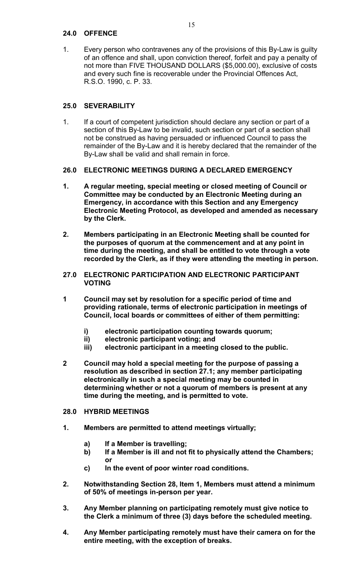## **24.0 OFFENCE**

1. Every person who contravenes any of the provisions of this By-Law is guilty of an offence and shall, upon conviction thereof, forfeit and pay a penalty of not more than FIVE THOUSAND DOLLARS (\$5,000.00), exclusive of costs and every such fine is recoverable under the Provincial Offences Act, R.S.O. 1990, c. P. 33.

# **25.0 SEVERABILITY**

1. If a court of competent jurisdiction should declare any section or part of a section of this By-Law to be invalid, such section or part of a section shall not be construed as having persuaded or influenced Council to pass the remainder of the By-Law and it is hereby declared that the remainder of the By-Law shall be valid and shall remain in force.

# **26.0 ELECTRONIC MEETINGS DURING A DECLARED EMERGENCY**

- **1. A regular meeting, special meeting or closed meeting of Council or Committee may be conducted by an Electronic Meeting during an Emergency, in accordance with this Section and any Emergency Electronic Meeting Protocol, as developed and amended as necessary by the Clerk.**
- **2. Members participating in an Electronic Meeting shall be counted for the purposes of quorum at the commencement and at any point in time during the meeting, and shall be entitled to vote through a vote recorded by the Clerk, as if they were attending the meeting in person.**
- **27.0 ELECTRONIC PARTICIPATION AND ELECTRONIC PARTICIPANT VOTING**
- **1 Council may set by resolution for a specific period of time and providing rationale, terms of electronic participation in meetings of Council, local boards or committees of either of them permitting:**
	- **i) electronic participation counting towards quorum;**
	- **ii) electronic participant voting; and**
	- **iii) electronic participant in a meeting closed to the public.**
- **2 Council may hold a special meeting for the purpose of passing a resolution as described in section 27.1; any member participating electronically in such a special meeting may be counted in determining whether or not a quorum of members is present at any time during the meeting, and is permitted to vote.**
- **28.0 HYBRID MEETINGS**
- **1. Members are permitted to attend meetings virtually;**
	- **a) If a Member is travelling;**
	- **b) If a Member is ill and not fit to physically attend the Chambers; or**
	- **c) In the event of poor winter road conditions.**
- **2. Notwithstanding Section 28, Item 1, Members must attend a minimum of 50% of meetings in-person per year.**
- **3. Any Member planning on participating remotely must give notice to the Clerk a minimum of three (3) days before the scheduled meeting.**
- **4. Any Member participating remotely must have their camera on for the entire meeting, with the exception of breaks.**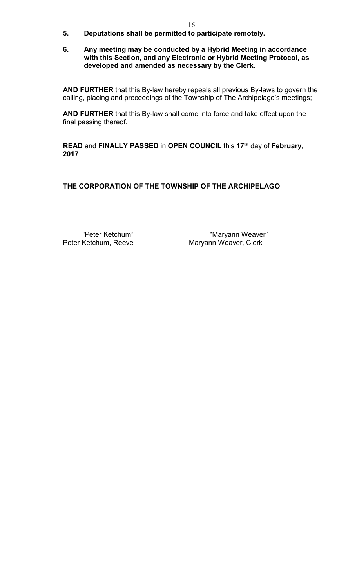- **5. Deputations shall be permitted to participate remotely.**
- **6. Any meeting may be conducted by a Hybrid Meeting in accordance with this Section, and any Electronic or Hybrid Meeting Protocol, as developed and amended as necessary by the Clerk.**

**AND FURTHER** that this By-law hereby repeals all previous By-laws to govern the calling, placing and proceedings of the Township of The Archipelago's meetings;

**AND FURTHER** that this By-law shall come into force and take effect upon the final passing thereof.

**READ** and **FINALLY PASSED** in **OPEN COUNCIL** this **17th** day of **February**, **2017**.

**THE CORPORATION OF THE TOWNSHIP OF THE ARCHIPELAGO**

"Peter Ketchum" "Maryann Weaver"

Maryann Weaver, Clerk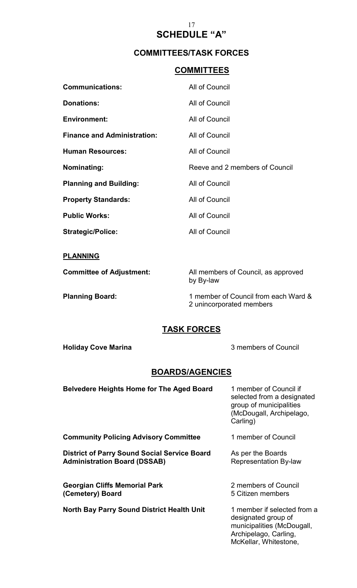# 17 **SCHEDULE "A"**

# **COMMITTEES/TASK FORCES**

# **COMMITTEES**

| <b>Communications:</b>             | All of Council                 |
|------------------------------------|--------------------------------|
| <b>Donations:</b>                  | All of Council                 |
| <b>Environment:</b>                | All of Council                 |
| <b>Finance and Administration:</b> | All of Council                 |
| <b>Human Resources:</b>            | All of Council                 |
|                                    |                                |
| Nominating:                        | Reeve and 2 members of Council |
| <b>Planning and Building:</b>      | All of Council                 |
| <b>Property Standards:</b>         | All of Council                 |
| <b>Public Works:</b>               | All of Council                 |

**PLANNING**

**Committee of Adjustment:** All members of Council, as approved by By-law

**Planning Board:** 1 member of Council from each Ward & 2 unincorporated members

# **TASK FORCES**

**Holiday Cove Marina 3 members of Council** 

McKellar, Whitestone,

# **BOARDS/AGENCIES**

| <b>Belvedere Heights Home for The Aged Board</b>                                           | 1 member of Council if<br>selected from a designated<br>group of municipalities<br>(McDougall, Archipelago,<br>Carling) |
|--------------------------------------------------------------------------------------------|-------------------------------------------------------------------------------------------------------------------------|
| <b>Community Policing Advisory Committee</b>                                               | 1 member of Council                                                                                                     |
| <b>District of Parry Sound Social Service Board</b><br><b>Administration Board (DSSAB)</b> | As per the Boards<br><b>Representation By-law</b>                                                                       |
| <b>Georgian Cliffs Memorial Park</b><br>(Cemetery) Board                                   | 2 members of Council<br>5 Citizen members                                                                               |
| <b>North Bay Parry Sound District Health Unit</b>                                          | 1 member if selected from a<br>designated group of<br>municipalities (McDougall,<br>Archipelago, Carling,               |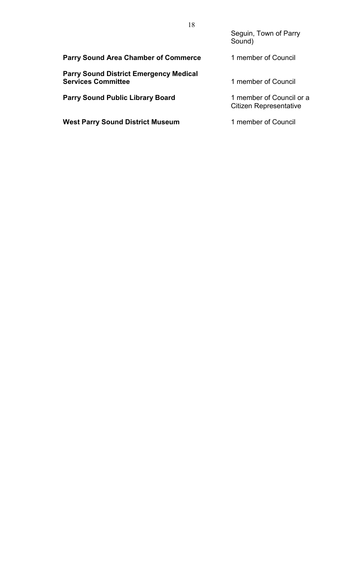Seguin, Town of Parry Sound)

| <b>Parry Sound Area Chamber of Commerce</b>                                | 1 member of Council                                       |
|----------------------------------------------------------------------------|-----------------------------------------------------------|
| <b>Parry Sound District Emergency Medical</b><br><b>Services Committee</b> | 1 member of Council                                       |
| <b>Parry Sound Public Library Board</b>                                    | 1 member of Council or a<br><b>Citizen Representative</b> |
| <b>West Parry Sound District Museum</b>                                    | 1 member of Council                                       |